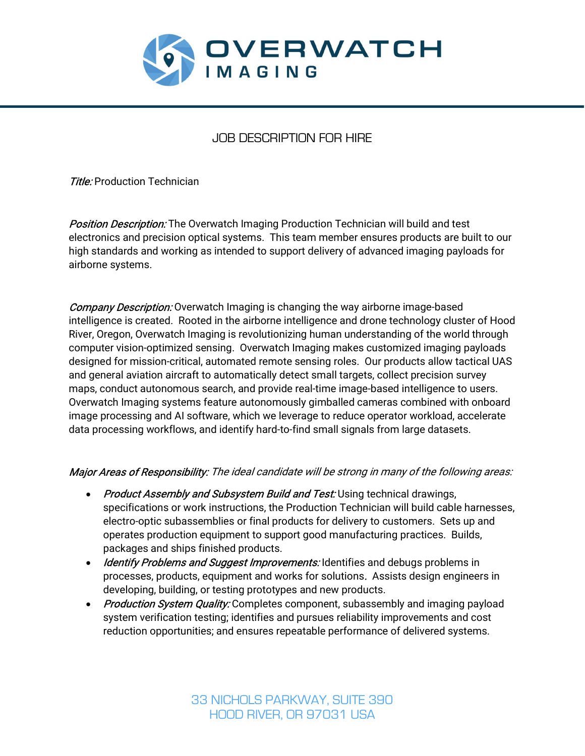

# JOB DESCRIPTION FOR HIRE

**Title:** Production Technician

**Position Description:** The Overwatch Imaging Production Technician will build and test electronics and precision optical systems. This team member ensures products are built to our high standards and working as intended to support delivery of advanced imaging payloads for airborne systems.

**Company Description:** Overwatch Imaging is changing the way airborne image-based intelligence is created. Rooted in the airborne intelligence and drone technology cluster of Hood River, Oregon, Overwatch Imaging is revolutionizing human understanding of the world through computer vision-optimized sensing. Overwatch Imaging makes customized imaging payloads designed for mission-critical, automated remote sensing roles. Our products allow tactical UAS and general aviation aircraft to automatically detect small targets, collect precision survey maps, conduct autonomous search, and provide real-time image-based intelligence to users. Overwatch Imaging systems feature autonomously gimballed cameras combined with onboard image processing and AI software, which we leverage to reduce operator workload, accelerate data processing workflows, and identify hard-to-find small signals from large datasets.

#### Major Areas of Responsibility: The ideal candidate will be strong in many of the following areas:

- Product Assembly and Subsystem Build and Test: Using technical drawings, specifications or work instructions, the Production Technician will build cable harnesses, electro-optic subassemblies or final products for delivery to customers. Sets up and operates production equipment to support good manufacturing practices. Builds, packages and ships finished products.
- Identify Problems and Suggest Improvements: Identifies and debugs problems in processes, products, equipment and works for solutions. Assists design engineers in developing, building, or testing prototypes and new products.
- Production System Quality: Completes component, subassembly and imaging payload system verification testing; identifies and pursues reliability improvements and cost reduction opportunities; and ensures repeatable performance of delivered systems.